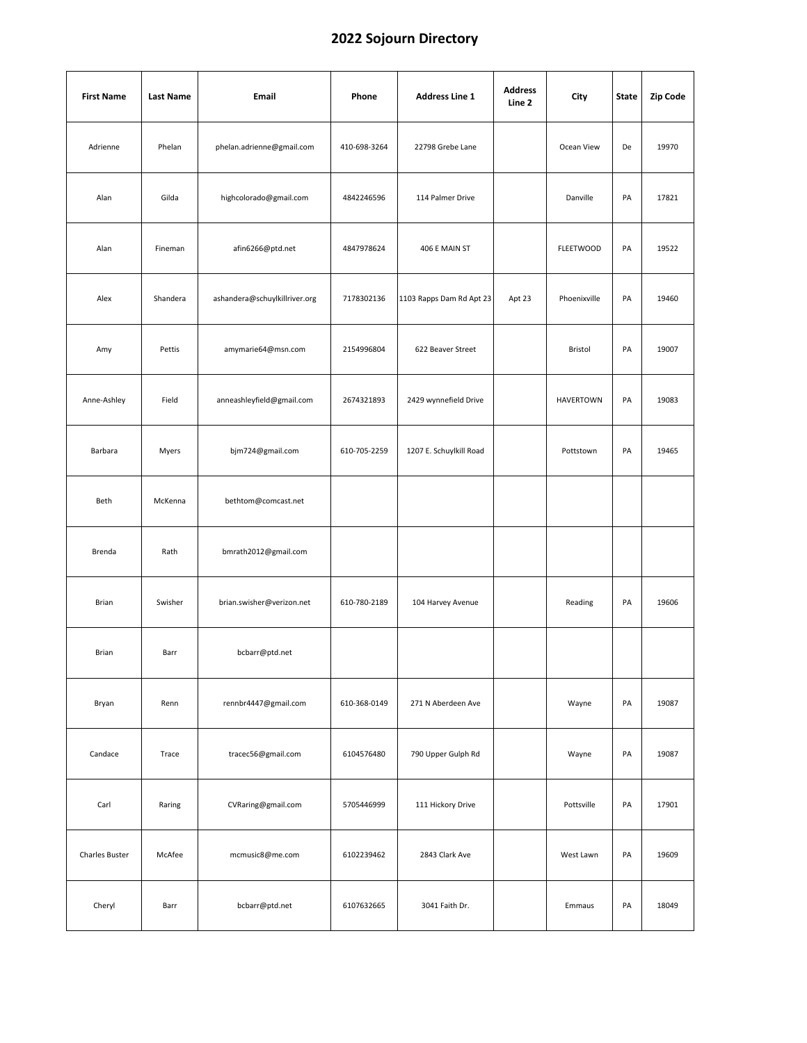| <b>First Name</b> | <b>Last Name</b> | Email                         | Phone        | <b>Address Line 1</b>    | <b>Address</b><br>Line 2 | City             | State | Zip Code |
|-------------------|------------------|-------------------------------|--------------|--------------------------|--------------------------|------------------|-------|----------|
| Adrienne          | Phelan           | phelan.adrienne@gmail.com     | 410-698-3264 | 22798 Grebe Lane         |                          | Ocean View       | De    | 19970    |
| Alan              | Gilda            | highcolorado@gmail.com        | 4842246596   | 114 Palmer Drive         |                          | Danville         | PA    | 17821    |
| Alan              | Fineman          | afin6266@ptd.net              | 4847978624   | 406 E MAIN ST            |                          | <b>FLEETWOOD</b> | PA    | 19522    |
| Alex              | Shandera         | ashandera@schuylkillriver.org | 7178302136   | 1103 Rapps Dam Rd Apt 23 | Apt 23                   | Phoenixville     | PA    | 19460    |
| Amy               | Pettis           | amymarie64@msn.com            | 2154996804   | 622 Beaver Street        |                          | Bristol          | PA    | 19007    |
| Anne-Ashley       | Field            | anneashleyfield@gmail.com     | 2674321893   | 2429 wynnefield Drive    |                          | <b>HAVERTOWN</b> | PA    | 19083    |
| Barbara           | Myers            | bjm724@gmail.com              | 610-705-2259 | 1207 E. Schuylkill Road  |                          | Pottstown        | PA    | 19465    |
| Beth              | McKenna          | bethtom@comcast.net           |              |                          |                          |                  |       |          |
| Brenda            | Rath             | bmrath2012@gmail.com          |              |                          |                          |                  |       |          |
| Brian             | Swisher          | brian.swisher@verizon.net     | 610-780-2189 | 104 Harvey Avenue        |                          | Reading          | PA    | 19606    |
| Brian             | Barr             | bcbarr@ptd.net                |              |                          |                          |                  |       |          |
| Bryan             | Renn             | rennbr4447@gmail.com          | 610-368-0149 | 271 N Aberdeen Ave       |                          | Wayne            | PA    | 19087    |
| Candace           | Trace            | tracec56@gmail.com            | 6104576480   | 790 Upper Gulph Rd       |                          | Wayne            | PA    | 19087    |
| Carl              | Raring           | CVRaring@gmail.com            | 5705446999   | 111 Hickory Drive        |                          | Pottsville       | PA    | 17901    |
| Charles Buster    | McAfee           | mcmusic8@me.com               | 6102239462   | 2843 Clark Ave           |                          | West Lawn        | PA    | 19609    |
| Cheryl            | Barr             | bcbarr@ptd.net                | 6107632665   | 3041 Faith Dr.           |                          | Emmaus           | PA    | 18049    |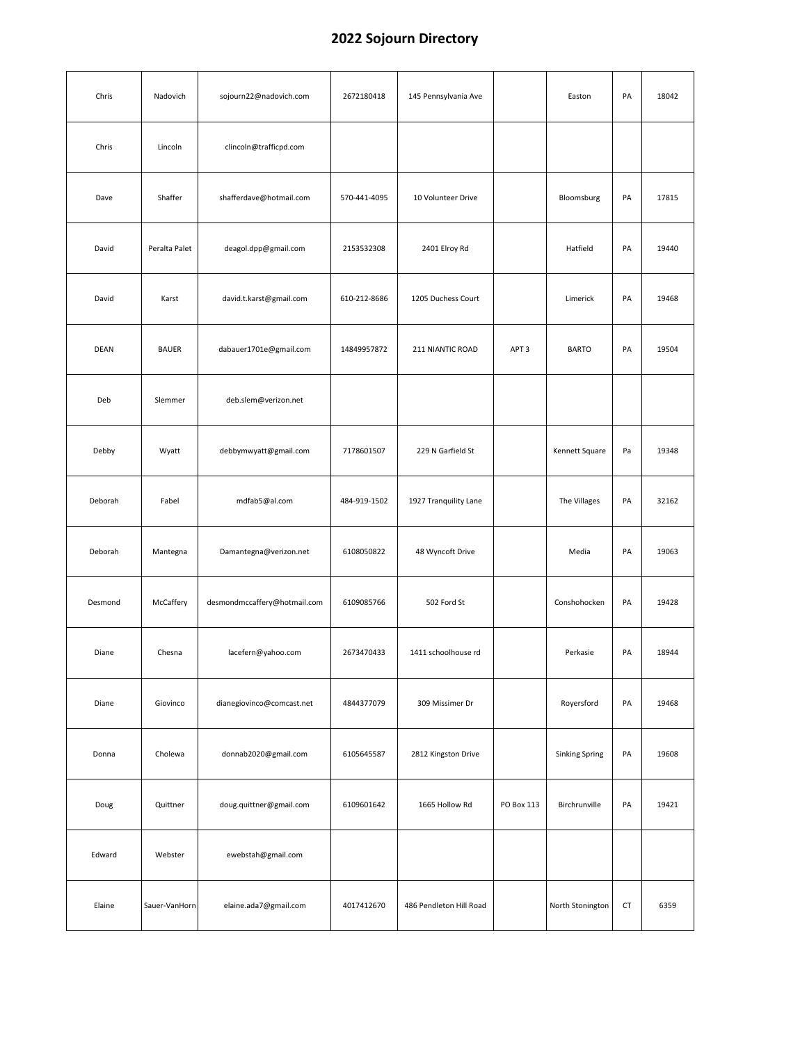| Chris   | Nadovich      | sojourn22@nadovich.com       | 2672180418   | 145 Pennsylvania Ave    |                  | Easton                | PA | 18042 |
|---------|---------------|------------------------------|--------------|-------------------------|------------------|-----------------------|----|-------|
| Chris   | Lincoln       | clincoln@trafficpd.com       |              |                         |                  |                       |    |       |
| Dave    | Shaffer       | shafferdave@hotmail.com      | 570-441-4095 | 10 Volunteer Drive      |                  | Bloomsburg            | PA | 17815 |
| David   | Peralta Palet | deagol.dpp@gmail.com         | 2153532308   | 2401 Elroy Rd           |                  | Hatfield              | PA | 19440 |
| David   | Karst         | david.t.karst@gmail.com      | 610-212-8686 | 1205 Duchess Court      |                  | Limerick              | PA | 19468 |
| DEAN    | <b>BAUER</b>  | dabauer1701e@gmail.com       | 14849957872  | 211 NIANTIC ROAD        | APT <sub>3</sub> | <b>BARTO</b>          | PA | 19504 |
| Deb     | Slemmer       | deb.slem@verizon.net         |              |                         |                  |                       |    |       |
| Debby   | Wyatt         | debbymwyatt@gmail.com        | 7178601507   | 229 N Garfield St       |                  | Kennett Square        | Pa | 19348 |
| Deborah | Fabel         | mdfab5@al.com                | 484-919-1502 | 1927 Tranquility Lane   |                  | The Villages          | PA | 32162 |
| Deborah | Mantegna      | Damantegna@verizon.net       | 6108050822   | 48 Wyncoft Drive        |                  | Media                 | PA | 19063 |
| Desmond | McCaffery     | desmondmccaffery@hotmail.com | 6109085766   | 502 Ford St             |                  | Conshohocken          | PA | 19428 |
| Diane   | Chesna        | lacefern@yahoo.com           | 2673470433   | 1411 schoolhouse rd     |                  | Perkasie              | PA | 18944 |
| Diane   | Giovinco      | dianegiovinco@comcast.net    | 4844377079   | 309 Missimer Dr         |                  | Royersford            | PA | 19468 |
| Donna   | Cholewa       | donnab2020@gmail.com         | 6105645587   | 2812 Kingston Drive     |                  | <b>Sinking Spring</b> | PA | 19608 |
| Doug    | Quittner      | doug.quittner@gmail.com      | 6109601642   | 1665 Hollow Rd          | PO Box 113       | Birchrunville         | PA | 19421 |
| Edward  | Webster       | ewebstah@gmail.com           |              |                         |                  |                       |    |       |
| Elaine  | Sauer-VanHorn | elaine.ada7@gmail.com        | 4017412670   | 486 Pendleton Hill Road |                  | North Stonington      | CT | 6359  |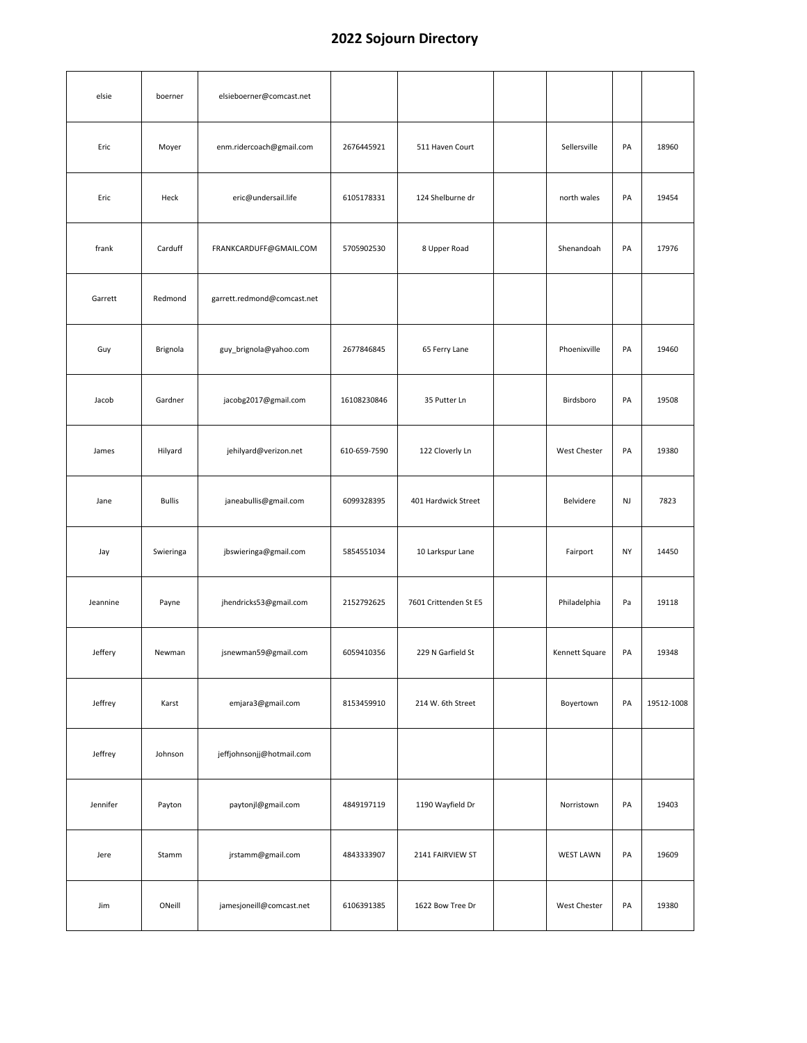| elsie    | boerner       | elsieboerner@comcast.net    |              |                       |                  |    |            |
|----------|---------------|-----------------------------|--------------|-----------------------|------------------|----|------------|
| Eric     | Moyer         | enm.ridercoach@gmail.com    | 2676445921   | 511 Haven Court       | Sellersville     | PA | 18960      |
| Eric     | Heck          | eric@undersail.life         | 6105178331   | 124 Shelburne dr      | north wales      | PA | 19454      |
| frank    | Carduff       | FRANKCARDUFF@GMAIL.COM      | 5705902530   | 8 Upper Road          | Shenandoah       | PA | 17976      |
| Garrett  | Redmond       | garrett.redmond@comcast.net |              |                       |                  |    |            |
| Guy      | Brignola      | guy_brignola@yahoo.com      | 2677846845   | 65 Ferry Lane         | Phoenixville     | PA | 19460      |
| Jacob    | Gardner       | jacobg2017@gmail.com        | 16108230846  | 35 Putter Ln          | Birdsboro        | PA | 19508      |
| James    | Hilyard       | jehilyard@verizon.net       | 610-659-7590 | 122 Cloverly Ln       | West Chester     | PA | 19380      |
| Jane     | <b>Bullis</b> | janeabullis@gmail.com       | 6099328395   | 401 Hardwick Street   | Belvidere        | NJ | 7823       |
| Jay      | Swieringa     | jbswieringa@gmail.com       | 5854551034   | 10 Larkspur Lane      | Fairport         | NY | 14450      |
| Jeannine | Payne         | jhendricks53@gmail.com      | 2152792625   | 7601 Crittenden St E5 | Philadelphia     | Pa | 19118      |
| Jeffery  | Newman        | jsnewman59@gmail.com        | 6059410356   | 229 N Garfield St     | Kennett Square   | PA | 19348      |
| Jeffrey  | Karst         | emjara3@gmail.com           | 8153459910   | 214 W. 6th Street     | Boyertown        | PA | 19512-1008 |
| Jeffrey  | Johnson       | jeffjohnsonjj@hotmail.com   |              |                       |                  |    |            |
| Jennifer | Payton        | paytonjl@gmail.com          | 4849197119   | 1190 Wayfield Dr      | Norristown       | PA | 19403      |
| Jere     | Stamm         | jrstamm@gmail.com           | 4843333907   | 2141 FAIRVIEW ST      | <b>WEST LAWN</b> | PA | 19609      |
| Jim      | ONeill        | jamesjoneill@comcast.net    | 6106391385   | 1622 Bow Tree Dr      | West Chester     | PA | 19380      |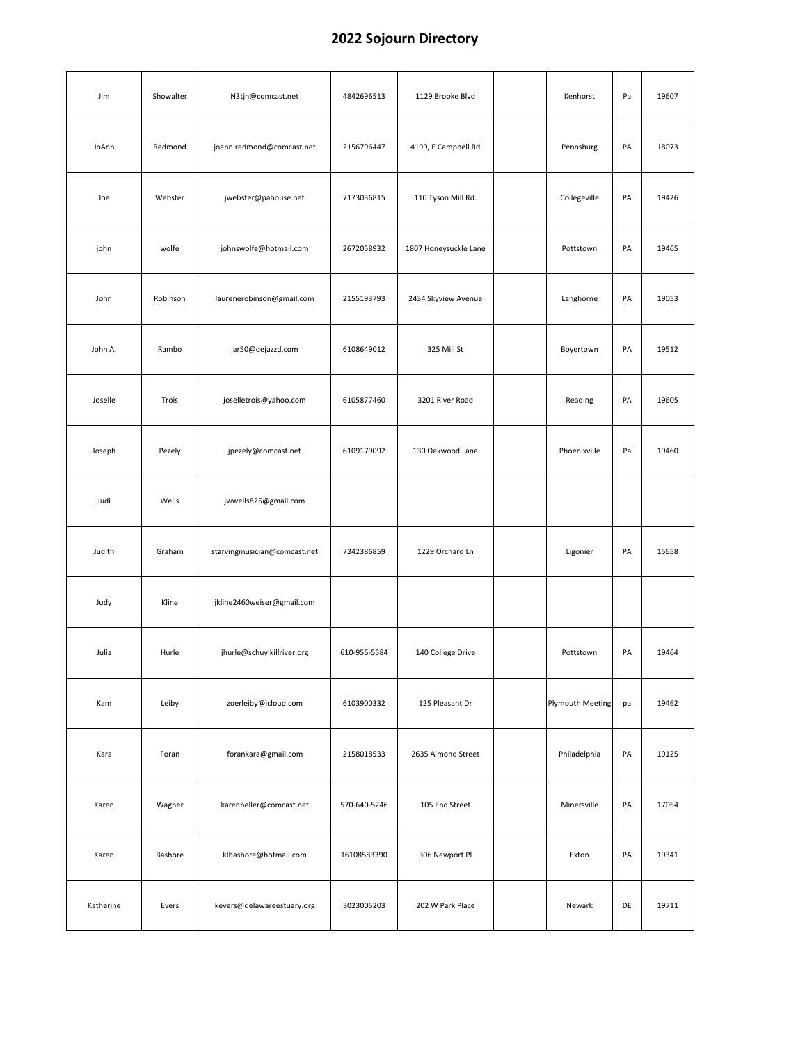| Jim       | Showalter | N3tjn@comcast.net            | 4842696513   | 1129 Brooke Blvd      | Kenhorst                | Pa | 19607 |
|-----------|-----------|------------------------------|--------------|-----------------------|-------------------------|----|-------|
| JoAnn     | Redmond   | joann.redmond@comcast.net    | 2156796447   | 4199, E Campbell Rd   | Pennsburg               | PA | 18073 |
| Joe       | Webster   | jwebster@pahouse.net         | 7173036815   | 110 Tyson Mill Rd.    | Collegeville            | PA | 19426 |
| john      | wolfe     | johnswolfe@hotmail.com       | 2672058932   | 1807 Honeysuckle Lane | Pottstown               | PA | 19465 |
| John      | Robinson  | laurenerobinson@gmail.com    | 2155193793   | 2434 Skyview Avenue   | Langhorne               | PA | 19053 |
| John A.   | Rambo     | jar50@dejazzd.com            | 6108649012   | 325 Mill St           | Boyertown               | PA | 19512 |
| Joselle   | Trois     | joselletrois@yahoo.com       | 6105877460   | 3201 River Road       | Reading                 | PA | 19605 |
| Joseph    | Pezely    | jpezely@comcast.net          | 6109179092   | 130 Oakwood Lane      | Phoenixville            | Pa | 19460 |
| Judi      | Wells     | jwwells825@gmail.com         |              |                       |                         |    |       |
| Judith    | Graham    | starvingmusician@comcast.net | 7242386859   | 1229 Orchard Ln       | Ligonier                | PA | 15658 |
| Judy      | Kline     | jkline2460weiser@gmail.com   |              |                       |                         |    |       |
| Julia     | Hurle     | jhurle@schuylkillriver.org   | 610-955-5584 | 140 College Drive     | Pottstown               | PA | 19464 |
| Kam       | Leiby     | zoerleiby@icloud.com         | 6103900332   | 125 Pleasant Dr       | <b>Plymouth Meeting</b> | pa | 19462 |
| Kara      | Foran     | forankara@gmail.com          | 2158018533   | 2635 Almond Street    | Philadelphia            | PA | 19125 |
| Karen     | Wagner    | karenheller@comcast.net      | 570-640-5246 | 105 End Street        | Minersville             | PA | 17054 |
| Karen     | Bashore   | klbashore@hotmail.com        | 16108583390  | 306 Newport Pl        | Exton                   | PA | 19341 |
| Katherine | Evers     | kevers@delawareestuary.org   | 3023005203   | 202 W Park Place      | Newark                  | DE | 19711 |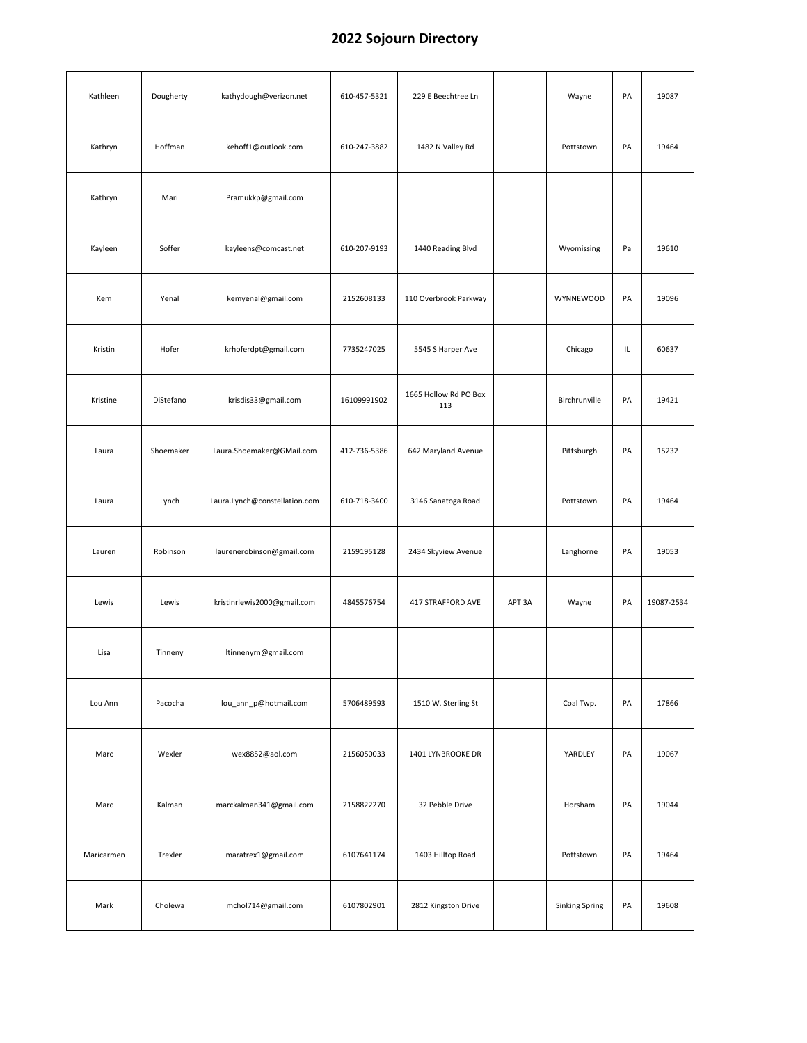| Kathleen   | Dougherty | kathydough@verizon.net        | 610-457-5321 | 229 E Beechtree Ln           |        | Wayne                 | PA | 19087      |
|------------|-----------|-------------------------------|--------------|------------------------------|--------|-----------------------|----|------------|
| Kathryn    | Hoffman   | kehoff1@outlook.com           | 610-247-3882 | 1482 N Valley Rd             |        | Pottstown             | PA | 19464      |
| Kathryn    | Mari      | Pramukkp@gmail.com            |              |                              |        |                       |    |            |
| Kayleen    | Soffer    | kayleens@comcast.net          | 610-207-9193 | 1440 Reading Blvd            |        | Wyomissing            | Pa | 19610      |
| Kem        | Yenal     | kemyenal@gmail.com            | 2152608133   | 110 Overbrook Parkway        |        | WYNNEWOOD             | PA | 19096      |
| Kristin    | Hofer     | krhoferdpt@gmail.com          | 7735247025   | 5545 S Harper Ave            |        | Chicago               | IL | 60637      |
| Kristine   | DiStefano | krisdis33@gmail.com           | 16109991902  | 1665 Hollow Rd PO Box<br>113 |        | Birchrunville         | PA | 19421      |
| Laura      | Shoemaker | Laura.Shoemaker@GMail.com     | 412-736-5386 | 642 Maryland Avenue          |        | Pittsburgh            | PA | 15232      |
| Laura      | Lynch     | Laura.Lynch@constellation.com | 610-718-3400 | 3146 Sanatoga Road           |        | Pottstown             | PA | 19464      |
| Lauren     | Robinson  | laurenerobinson@gmail.com     | 2159195128   | 2434 Skyview Avenue          |        | Langhorne             | PA | 19053      |
| Lewis      | Lewis     | kristinrlewis2000@gmail.com   | 4845576754   | 417 STRAFFORD AVE            | APT 3A | Wayne                 | PA | 19087-2534 |
| Lisa       | Tinneny   | ltinnenyrn@gmail.com          |              |                              |        |                       |    |            |
| Lou Ann    | Pacocha   | lou_ann_p@hotmail.com         | 5706489593   | 1510 W. Sterling St          |        | Coal Twp.             | PA | 17866      |
| Marc       | Wexler    | wex8852@aol.com               | 2156050033   | 1401 LYNBROOKE DR            |        | YARDLEY               | PA | 19067      |
| Marc       | Kalman    | marckalman341@gmail.com       | 2158822270   | 32 Pebble Drive              |        | Horsham               | PA | 19044      |
| Maricarmen | Trexler   | maratrex1@gmail.com           | 6107641174   | 1403 Hilltop Road            |        | Pottstown             | PA | 19464      |
| Mark       | Cholewa   | mchol714@gmail.com            | 6107802901   | 2812 Kingston Drive          |        | <b>Sinking Spring</b> | PA | 19608      |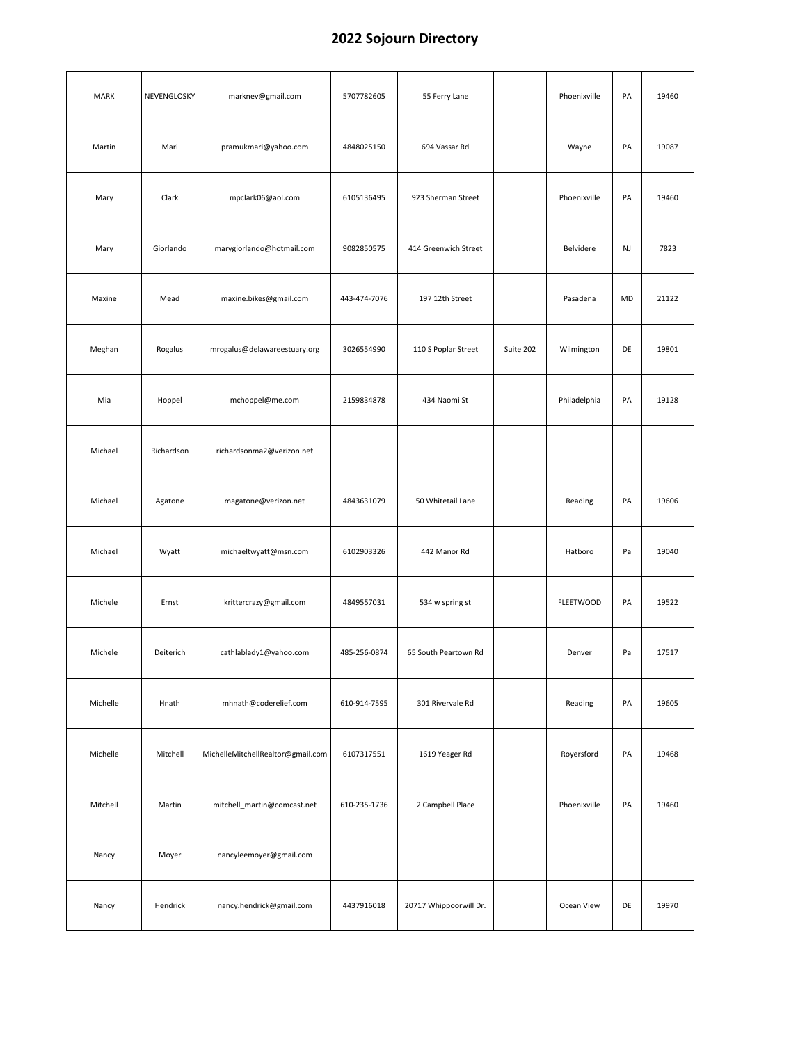| <b>MARK</b> | NEVENGLOSKY | marknev@gmail.com                 | 5707782605   | 55 Ferry Lane          |           | Phoenixville     | PA | 19460 |
|-------------|-------------|-----------------------------------|--------------|------------------------|-----------|------------------|----|-------|
| Martin      | Mari        | pramukmari@yahoo.com              | 4848025150   | 694 Vassar Rd          |           | Wayne            | PA | 19087 |
| Mary        | Clark       | mpclark06@aol.com                 | 6105136495   | 923 Sherman Street     |           | Phoenixville     | PA | 19460 |
| Mary        | Giorlando   | marygiorlando@hotmail.com         | 9082850575   | 414 Greenwich Street   |           | Belvidere        | NJ | 7823  |
| Maxine      | Mead        | maxine.bikes@gmail.com            | 443-474-7076 | 197 12th Street        |           | Pasadena         | MD | 21122 |
| Meghan      | Rogalus     | mrogalus@delawareestuary.org      | 3026554990   | 110 S Poplar Street    | Suite 202 | Wilmington       | DE | 19801 |
| Mia         | Hoppel      | mchoppel@me.com                   | 2159834878   | 434 Naomi St           |           | Philadelphia     | PA | 19128 |
| Michael     | Richardson  | richardsonma2@verizon.net         |              |                        |           |                  |    |       |
| Michael     | Agatone     | magatone@verizon.net              | 4843631079   | 50 Whitetail Lane      |           | Reading          | PA | 19606 |
| Michael     | Wyatt       | michaeltwyatt@msn.com             | 6102903326   | 442 Manor Rd           |           | Hatboro          | Pa | 19040 |
| Michele     | Ernst       | krittercrazy@gmail.com            | 4849557031   | 534 w spring st        |           | <b>FLEETWOOD</b> | PA | 19522 |
| Michele     | Deiterich   | cathlablady1@yahoo.com            | 485-256-0874 | 65 South Peartown Rd   |           | Denver           | Pa | 17517 |
| Michelle    | Hnath       | mhnath@coderelief.com             | 610-914-7595 | 301 Rivervale Rd       |           | Reading          | PA | 19605 |
| Michelle    | Mitchell    | MichelleMitchellRealtor@gmail.com | 6107317551   | 1619 Yeager Rd         |           | Royersford       | PA | 19468 |
| Mitchell    | Martin      | mitchell_martin@comcast.net       | 610-235-1736 | 2 Campbell Place       |           | Phoenixville     | PA | 19460 |
| Nancy       | Moyer       | nancyleemoyer@gmail.com           |              |                        |           |                  |    |       |
| Nancy       | Hendrick    | nancy.hendrick@gmail.com          | 4437916018   | 20717 Whippoorwill Dr. |           | Ocean View       | DE | 19970 |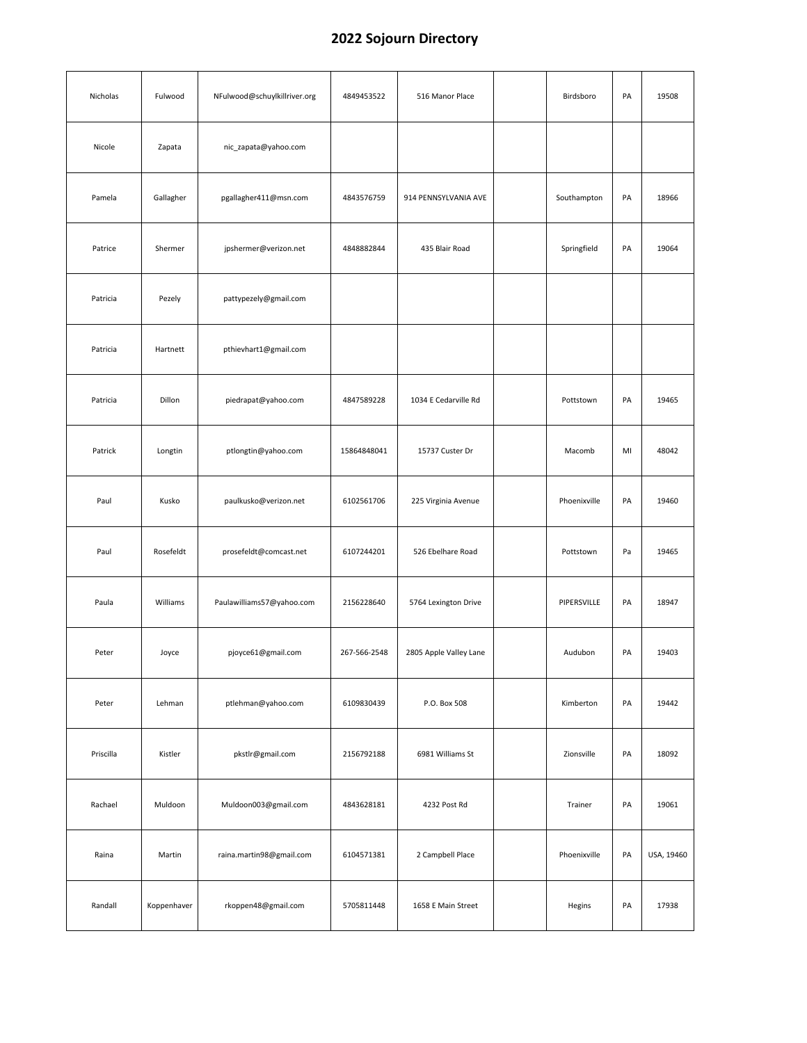| Nicholas  | Fulwood     | NFulwood@schuylkillriver.org | 4849453522   | 516 Manor Place        | Birdsboro    | PA | 19508      |
|-----------|-------------|------------------------------|--------------|------------------------|--------------|----|------------|
| Nicole    | Zapata      | nic_zapata@yahoo.com         |              |                        |              |    |            |
| Pamela    | Gallagher   | pgallagher411@msn.com        | 4843576759   | 914 PENNSYLVANIA AVE   | Southampton  | PA | 18966      |
| Patrice   | Shermer     | jpshermer@verizon.net        | 4848882844   | 435 Blair Road         | Springfield  | PA | 19064      |
| Patricia  | Pezely      | pattypezely@gmail.com        |              |                        |              |    |            |
| Patricia  | Hartnett    | pthievhart1@gmail.com        |              |                        |              |    |            |
| Patricia  | Dillon      | piedrapat@yahoo.com          | 4847589228   | 1034 E Cedarville Rd   | Pottstown    | PA | 19465      |
| Patrick   | Longtin     | ptlongtin@yahoo.com          | 15864848041  | 15737 Custer Dr        | Macomb       | MI | 48042      |
| Paul      | Kusko       | paulkusko@verizon.net        | 6102561706   | 225 Virginia Avenue    | Phoenixville | PA | 19460      |
| Paul      | Rosefeldt   | prosefeldt@comcast.net       | 6107244201   | 526 Ebelhare Road      | Pottstown    | Pa | 19465      |
| Paula     | Williams    | Paulawilliams57@yahoo.com    | 2156228640   | 5764 Lexington Drive   | PIPERSVILLE  | PA | 18947      |
| Peter     | Joyce       | pjoyce61@gmail.com           | 267-566-2548 | 2805 Apple Valley Lane | Audubon      | PA | 19403      |
| Peter     | Lehman      | ptlehman@yahoo.com           | 6109830439   | P.O. Box 508           | Kimberton    | PA | 19442      |
| Priscilla | Kistler     | pkstlr@gmail.com             | 2156792188   | 6981 Williams St       | Zionsville   | PA | 18092      |
| Rachael   | Muldoon     | Muldoon003@gmail.com         | 4843628181   | 4232 Post Rd           | Trainer      | PA | 19061      |
| Raina     | Martin      | raina.martin98@gmail.com     | 6104571381   | 2 Campbell Place       | Phoenixville | PA | USA, 19460 |
| Randall   | Koppenhaver | rkoppen48@gmail.com          | 5705811448   | 1658 E Main Street     | Hegins       | PA | 17938      |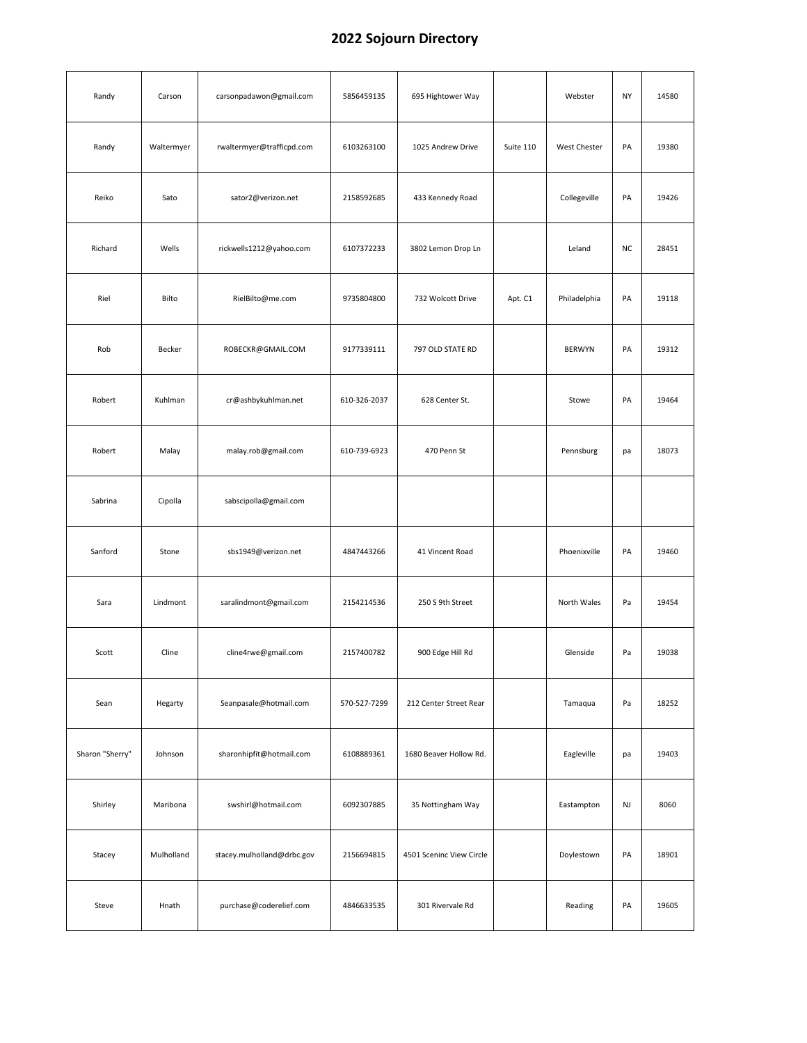| Randy           | Carson     | carsonpadawon@gmail.com    | 5856459135   | 695 Hightower Way        |           | Webster       | <b>NY</b> | 14580 |
|-----------------|------------|----------------------------|--------------|--------------------------|-----------|---------------|-----------|-------|
| Randy           | Waltermyer | rwaltermyer@trafficpd.com  | 6103263100   | 1025 Andrew Drive        | Suite 110 | West Chester  | PA        | 19380 |
| Reiko           | Sato       | sator2@verizon.net         | 2158592685   | 433 Kennedy Road         |           | Collegeville  | PA        | 19426 |
| Richard         | Wells      | rickwells1212@yahoo.com    | 6107372233   | 3802 Lemon Drop Ln       |           | Leland        | <b>NC</b> | 28451 |
| Riel            | Bilto      | RielBilto@me.com           | 9735804800   | 732 Wolcott Drive        | Apt. C1   | Philadelphia  | PA        | 19118 |
| Rob             | Becker     | ROBECKR@GMAIL.COM          | 9177339111   | 797 OLD STATE RD         |           | <b>BERWYN</b> | PA        | 19312 |
| Robert          | Kuhlman    | cr@ashbykuhlman.net        | 610-326-2037 | 628 Center St.           |           | Stowe         | PA        | 19464 |
| Robert          | Malay      | malay.rob@gmail.com        | 610-739-6923 | 470 Penn St              |           | Pennsburg     | pa        | 18073 |
| Sabrina         | Cipolla    | sabscipolla@gmail.com      |              |                          |           |               |           |       |
| Sanford         | Stone      | sbs1949@verizon.net        | 4847443266   | 41 Vincent Road          |           | Phoenixville  | PA        | 19460 |
| Sara            | Lindmont   | saralindmont@gmail.com     | 2154214536   | 250 S 9th Street         |           | North Wales   | Pa        | 19454 |
| Scott           | Cline      | cline4rwe@gmail.com        | 2157400782   | 900 Edge Hill Rd         |           | Glenside      | Pa        | 19038 |
| Sean            | Hegarty    | Seanpasale@hotmail.com     | 570-527-7299 | 212 Center Street Rear   |           | Tamaqua       | Pa        | 18252 |
| Sharon "Sherry" | Johnson    | sharonhipfit@hotmail.com   | 6108889361   | 1680 Beaver Hollow Rd.   |           | Eagleville    | pa        | 19403 |
| Shirley         | Maribona   | swshirl@hotmail.com        | 6092307885   | 35 Nottingham Way        |           | Eastampton    | NJ        | 8060  |
| Stacey          | Mulholland | stacey.mulholland@drbc.gov | 2156694815   | 4501 Sceninc View Circle |           | Doylestown    | PA        | 18901 |
| Steve           | Hnath      | purchase@coderelief.com    | 4846633535   | 301 Rivervale Rd         |           | Reading       | PA        | 19605 |